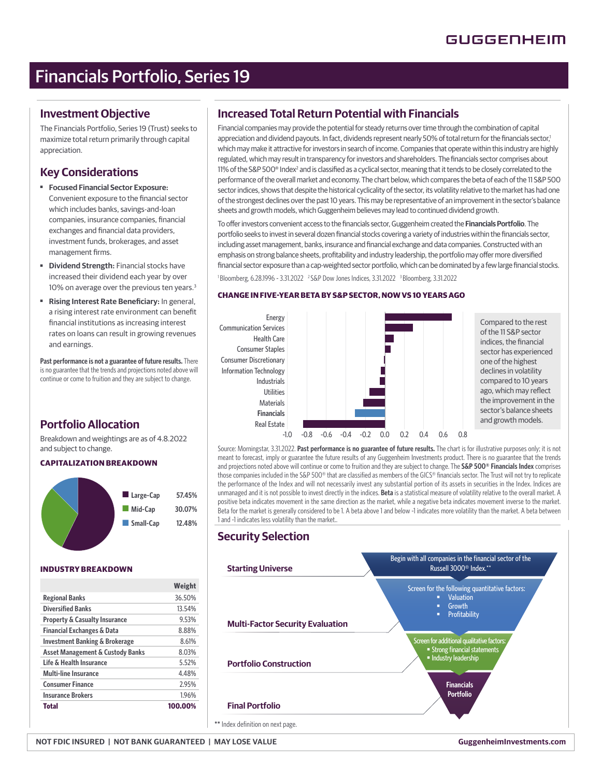# Financials Portfolio, Series 19

### **Investment Objective**

The Financials Portfolio, Series 19 (Trust) seeks to maximize total return primarily through capital appreciation.

## **Key Considerations**

- **Focused Financial Sector Exposure:** Convenient exposure to the financial sector which includes banks, savings-and-loan companies, insurance companies, financial exchanges and financial data providers, investment funds, brokerages, and asset management firms.
- ■ **Dividend Strength:** Financial stocks have increased their dividend each year by over 10% on average over the previous ten years.<sup>3</sup>
- **Rising Interest Rate Beneficiary:** In general, a rising interest rate environment can benefit financial institutions as increasing interest rates on loans can result in growing revenues and earnings.

**Past performance is not a guarantee of future results.** There is no guarantee that the trends and projections noted above will continue or come to fruition and they are subject to change.

# **Portfolio Allocation**

Breakdown and weightings are as of 4.8.2022 and subject to change.

### **CAPITALIZATION BREAKDOWN**



### **INDUSTRY BREAKDOWN**

|                                           | Weight  |
|-------------------------------------------|---------|
| <b>Regional Banks</b>                     | 36.50%  |
| <b>Diversified Banks</b>                  | 13.54%  |
| <b>Property &amp; Casualty Insurance</b>  | 9.53%   |
| <b>Financial Exchanges &amp; Data</b>     | 8.88%   |
| <b>Investment Banking &amp; Brokerage</b> | 8.61%   |
| Asset Management & Custody Banks          | 8.03%   |
| Life & Health Insurance                   | 5.52%   |
| Multi-line Insurance                      | 4.48%   |
| <b>Consumer Finance</b>                   | 2.95%   |
| <b>Insurance Brokers</b>                  | 1.96%   |
| Total                                     | 100.00% |

# **Increased Total Return Potential with Financials**

Financial companies may provide the potential for steady returns over time through the combination of capital appreciation and dividend payouts. In fact, dividends represent nearly 50% of total return for the financials sector,<sup>1</sup> which may make it attractive for investors in search of income. Companies that operate within this industry are highly regulated, which may result in transparency for investors and shareholders. The financials sector comprises about 11% of the S&P 500® Index<sup>2</sup> and is classified as a cyclical sector, meaning that it tends to be closely correlated to the performance of the overall market and economy. The chart below, which compares the beta of each of the 11 S&P 500 sector indices, shows that despite the historical cyclicality of the sector, its volatility relative to the market has had one of the strongest declines over the past 10 years. This may be representative of an improvement in the sector's balance sheets and growth models, which Guggenheim believes may lead to continued dividend growth.

To offer investors convenient access to the financials sector, Guggenheim created the Financials Portfolio. The portfolio seeks to invest in several dozen financial stocks covering a variety of industries within the financials sector, including asset management, banks, insurance and financial exchange and data companies. Constructed with an emphasis on strong balance sheets, profitability and industry leadership, the portfolio may offer more diversified financial sector exposure than a cap-weighted sector portfolio, which can be dominated by a few large financial stocks.

<sup>1</sup> Bloomberg, 6.28.1996 - 3.31.2022 <sup>2</sup> S&P Dow Jones Indices, 3.31.2022 <sup>3</sup> Bloomberg, 3.31.2022

### **CHANGE IN FIVE-YEAR BETA BY S&P SECTOR, NOW VS 10 YEARS AGO**



of the 11 S&P sector indices, the financial sector has experienced one of the highest declines in volatility compared to 10 years ago, which may reflect the improvement in the sector's balance sheets and growth models.

Source: Morningstar, 3.31.2022. **Past performance is no guarantee of future results.** The chart is for illustrative purposes only; it is not meant to forecast, imply or guarantee the future results of any Guggenheim Investments product. There is no guarantee that the trends and projections noted above will continue or come to fruition and they are subject to change. The **S&P 500® Financials Index** comprises those companies included in the S&P 500® that are classified as members of the GICS® financials sector. The Trust will not try to replicate the performance of the Index and will not necessarily invest any substantial portion of its assets in securities in the Index. Indices are unmanaged and it is not possible to invest directly in the indices. **Beta** is a statistical measure of volatility relative to the overall market. A positive beta indicates movement in the same direction as the market, while a negative beta indicates movement inverse to the market. Beta for the market is generally considered to be 1. A beta above 1 and below -1 indicates more volatility than the market. A beta between 1 and -1 indicates less volatility than the market..

# **Security Selection**